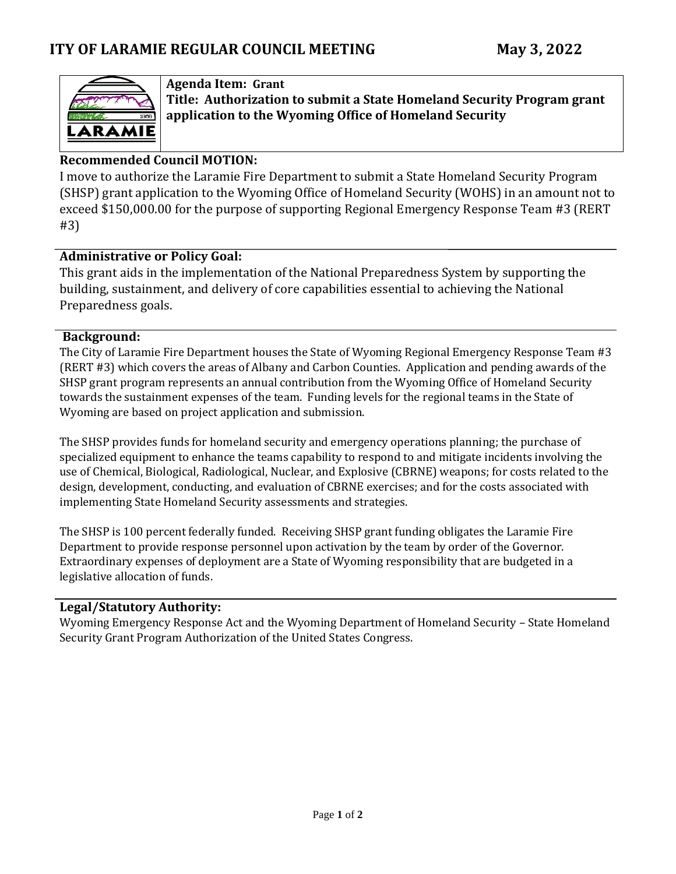

## **Agenda Item: Grant**

**Title: Authorization to submit a State Homeland Security Program grant application to the Wyoming Office of Homeland Security**

## **Recommended Council MOTION:**

I move to authorize the Laramie Fire Department to submit a State Homeland Security Program (SHSP) grant application to the Wyoming Office of Homeland Security (WOHS) in an amount not to exceed \$150,000.00 for the purpose of supporting Regional Emergency Response Team #3 (RERT #3)

#### **Administrative or Policy Goal:**

This grant aids in the implementation of the National Preparedness System by supporting the building, sustainment, and delivery of core capabilities essential to achieving the National Preparedness goals.

#### **Background:**

The City of Laramie Fire Department houses the State of Wyoming Regional Emergency Response Team #3 (RERT #3) which covers the areas of Albany and Carbon Counties. Application and pending awards of the SHSP grant program represents an annual contribution from the Wyoming Office of Homeland Security towards the sustainment expenses of the team. Funding levels for the regional teams in the State of Wyoming are based on project application and submission.

The SHSP provides funds for homeland security and emergency operations planning; the purchase of specialized equipment to enhance the teams capability to respond to and mitigate incidents involving the use of Chemical, Biological, Radiological, Nuclear, and Explosive (CBRNE) weapons; for costs related to the design, development, conducting, and evaluation of CBRNE exercises; and for the costs associated with implementing State Homeland Security assessments and strategies.

The SHSP is 100 percent federally funded. Receiving SHSP grant funding obligates the Laramie Fire Department to provide response personnel upon activation by the team by order of the Governor. Extraordinary expenses of deployment are a State of Wyoming responsibility that are budgeted in a legislative allocation of funds.

#### **Legal/Statutory Authority:**

Wyoming Emergency Response Act and the Wyoming Department of Homeland Security – State Homeland Security Grant Program Authorization of the United States Congress.